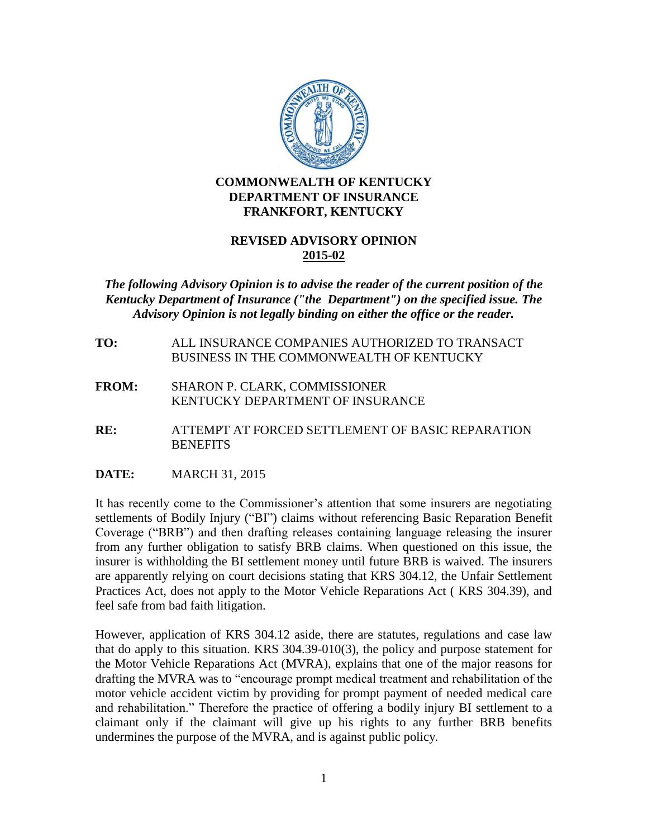

## **COMMONWEALTH OF KENTUCKY DEPARTMENT OF INSURANCE FRANKFORT, KENTUCKY**

## **REVISED ADVISORY OPINION 2015-02**

## *The following Advisory Opinion is to advise the reader of the current position of the Kentucky Department of Insurance ("the Department") on the specified issue. The Advisory Opinion is not legally binding on either the office or the reader.*

- **TO:** ALL INSURANCE COMPANIES AUTHORIZED TO TRANSACT BUSINESS IN THE COMMONWEALTH OF KENTUCKY
- **FROM:** SHARON P. CLARK, COMMISSIONER KENTUCKY DEPARTMENT OF INSURANCE
- **RE:** ATTEMPT AT FORCED SETTLEMENT OF BASIC REPARATION **BENEFITS**
- **DATE:** MARCH 31, 2015

It has recently come to the Commissioner's attention that some insurers are negotiating settlements of Bodily Injury ("BI") claims without referencing Basic Reparation Benefit Coverage ("BRB") and then drafting releases containing language releasing the insurer from any further obligation to satisfy BRB claims. When questioned on this issue, the insurer is withholding the BI settlement money until future BRB is waived. The insurers are apparently relying on court decisions stating that KRS 304.12, the Unfair Settlement Practices Act, does not apply to the Motor Vehicle Reparations Act ( KRS 304.39), and feel safe from bad faith litigation.

However, application of KRS 304.12 aside, there are statutes, regulations and case law that do apply to this situation. KRS 304.39-010(3), the policy and purpose statement for the Motor Vehicle Reparations Act (MVRA), explains that one of the major reasons for drafting the MVRA was to "encourage prompt medical treatment and rehabilitation of the motor vehicle accident victim by providing for prompt payment of needed medical care and rehabilitation." Therefore the practice of offering a bodily injury BI settlement to a claimant only if the claimant will give up his rights to any further BRB benefits undermines the purpose of the MVRA, and is against public policy.